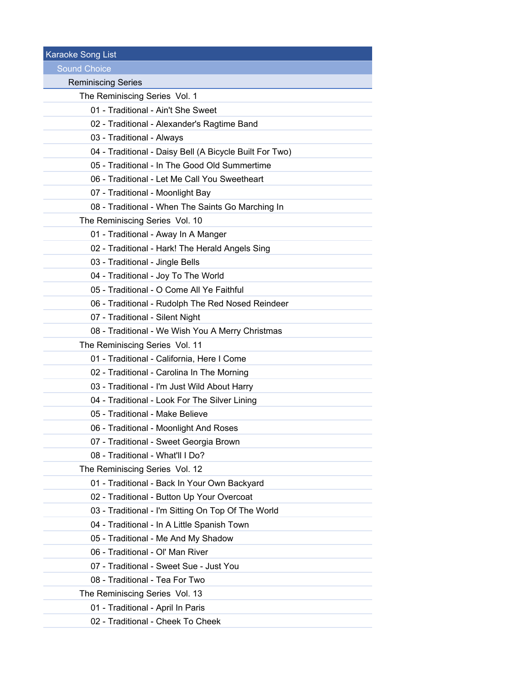Karaoke Song List Sound Choice Reminiscing Series The Reminiscing Series Vol. 1 01 - Traditional - Ain't She Sweet 02 - Traditional - Alexander's Ragtime Band 03 - Traditional - Always 04 - Traditional - Daisy Bell (A Bicycle Built For Two) 05 - Traditional - In The Good Old Summertime 06 - Traditional - Let Me Call You Sweetheart 07 - Traditional - Moonlight Bay 08 - Traditional - When The Saints Go Marching In The Reminiscing Series Vol. 10 01 - Traditional - Away In A Manger 02 - Traditional - Hark! The Herald Angels Sing 03 - Traditional - Jingle Bells 04 - Traditional - Joy To The World 05 - Traditional - O Come All Ye Faithful 06 - Traditional - Rudolph The Red Nosed Reindeer 07 - Traditional - Silent Night 08 - Traditional - We Wish You A Merry Christmas The Reminiscing Series Vol. 11 01 - Traditional - California, Here I Come 02 - Traditional - Carolina In The Morning 03 - Traditional - I'm Just Wild About Harry 04 - Traditional - Look For The Silver Lining 05 - Traditional - Make Believe 06 - Traditional - Moonlight And Roses 07 - Traditional - Sweet Georgia Brown 08 - Traditional - What'll I Do? The Reminiscing Series Vol. 12 01 - Traditional - Back In Your Own Backyard 02 - Traditional - Button Up Your Overcoat 03 - Traditional - I'm Sitting On Top Of The World 04 - Traditional - In A Little Spanish Town 05 - Traditional - Me And My Shadow 06 - Traditional - Ol' Man River 07 - Traditional - Sweet Sue - Just You 08 - Traditional - Tea For Two The Reminiscing Series Vol. 13 01 - Traditional - April In Paris 02 - Traditional - Cheek To Cheek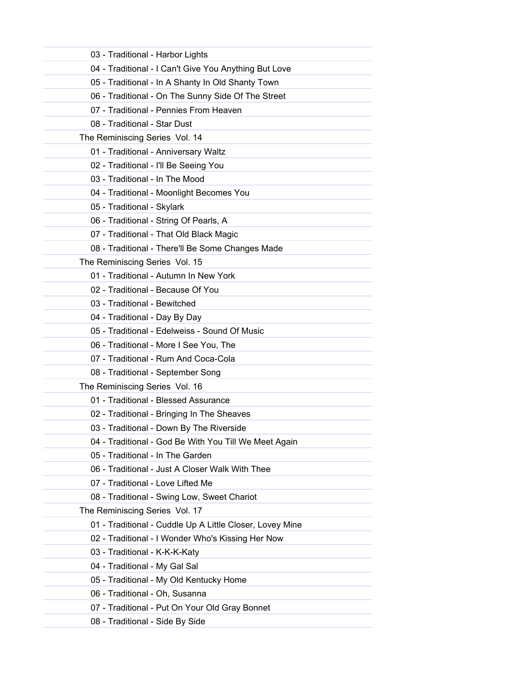| 03 - Traditional - Harbor Lights                         |
|----------------------------------------------------------|
| 04 - Traditional - I Can't Give You Anything But Love    |
| 05 - Traditional - In A Shanty In Old Shanty Town        |
| 06 - Traditional - On The Sunny Side Of The Street       |
| 07 - Traditional - Pennies From Heaven                   |
| 08 - Traditional - Star Dust                             |
| The Reminiscing Series Vol. 14                           |
| 01 - Traditional - Anniversary Waltz                     |
| 02 - Traditional - I'll Be Seeing You                    |
| 03 - Traditional - In The Mood                           |
| 04 - Traditional - Moonlight Becomes You                 |
| 05 - Traditional - Skylark                               |
| 06 - Traditional - String Of Pearls, A                   |
| 07 - Traditional - That Old Black Magic                  |
| 08 - Traditional - There'll Be Some Changes Made         |
| The Reminiscing Series Vol. 15                           |
| 01 - Traditional - Autumn In New York                    |
| 02 - Traditional - Because Of You                        |
| 03 - Traditional - Bewitched                             |
| 04 - Traditional - Day By Day                            |
| 05 - Traditional - Edelweiss - Sound Of Music            |
| 06 - Traditional - More I See You, The                   |
| 07 - Traditional - Rum And Coca-Cola                     |
| 08 - Traditional - September Song                        |
| The Reminiscing Series Vol. 16                           |
| 01 - Traditional - Blessed Assurance                     |
| 02 - Traditional - Bringing In The Sheaves               |
| 03 - Traditional - Down By The Riverside                 |
| 04 - Traditional - God Be With You Till We Meet Again    |
| 05 - Traditional - In The Garden                         |
| 06 - Traditional - Just A Closer Walk With Thee          |
| 07 - Traditional - Love Lifted Me                        |
| 08 - Traditional - Swing Low, Sweet Chariot              |
| The Reminiscing Series Vol. 17                           |
| 01 - Traditional - Cuddle Up A Little Closer, Lovey Mine |
| 02 - Traditional - I Wonder Who's Kissing Her Now        |
| 03 - Traditional - K-K-K-Katy                            |
| 04 - Traditional - My Gal Sal                            |
| 05 - Traditional - My Old Kentucky Home                  |
| 06 - Traditional - Oh, Susanna                           |
| 07 - Traditional - Put On Your Old Gray Bonnet           |
| 08 - Traditional - Side By Side                          |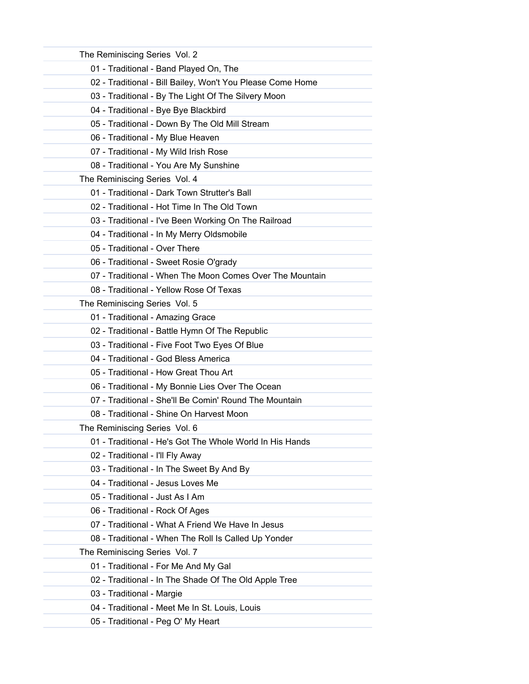| The Reminiscing Series Vol. 2                              |
|------------------------------------------------------------|
| 01 - Traditional - Band Played On, The                     |
| 02 - Traditional - Bill Bailey, Won't You Please Come Home |
| 03 - Traditional - By The Light Of The Silvery Moon        |
| 04 - Traditional - Bye Bye Blackbird                       |
| 05 - Traditional - Down By The Old Mill Stream             |
| 06 - Traditional - My Blue Heaven                          |
| 07 - Traditional - My Wild Irish Rose                      |
| 08 - Traditional - You Are My Sunshine                     |
| The Reminiscing Series Vol. 4                              |
| 01 - Traditional - Dark Town Strutter's Ball               |
| 02 - Traditional - Hot Time In The Old Town                |
| 03 - Traditional - I've Been Working On The Railroad       |
| 04 - Traditional - In My Merry Oldsmobile                  |
| 05 - Traditional - Over There                              |
| 06 - Traditional - Sweet Rosie O'grady                     |
| 07 - Traditional - When The Moon Comes Over The Mountain   |
| 08 - Traditional - Yellow Rose Of Texas                    |
| The Reminiscing Series Vol. 5                              |
| 01 - Traditional - Amazing Grace                           |
| 02 - Traditional - Battle Hymn Of The Republic             |
| 03 - Traditional - Five Foot Two Eyes Of Blue              |
| 04 - Traditional - God Bless America                       |
| 05 - Traditional - How Great Thou Art                      |
| 06 - Traditional - My Bonnie Lies Over The Ocean           |
| 07 - Traditional - She'll Be Comin' Round The Mountain     |
| 08 - Traditional - Shine On Harvest Moon                   |
| The Reminiscing Series Vol. 6                              |
| 01 - Traditional - He's Got The Whole World In His Hands   |
| 02 - Traditional - I'll Fly Away                           |
| 03 - Traditional - In The Sweet By And By                  |
| 04 - Traditional - Jesus Loves Me                          |
| 05 - Traditional - Just As I Am                            |
| 06 - Traditional - Rock Of Ages                            |
| 07 - Traditional - What A Friend We Have In Jesus          |
| 08 - Traditional - When The Roll Is Called Up Yonder       |
| The Reminiscing Series Vol. 7                              |
| 01 - Traditional - For Me And My Gal                       |
| 02 - Traditional - In The Shade Of The Old Apple Tree      |
| 03 - Traditional - Margie                                  |
| 04 - Traditional - Meet Me In St. Louis, Louis             |
| 05 - Traditional - Peg O' My Heart                         |